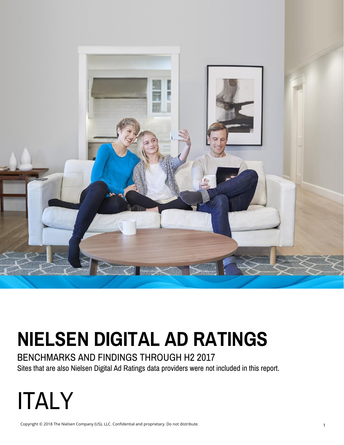

# **NIELSEN DIGITAL AD RATINGS**

### BENCHMARKS AND FINDINGS THROUGH H2 2017

Sites that are also Nielsen Digital Ad Ratings data providers were not included in this report.

# **ITALY**

Copyright © 2018 The Nielsen Company (US), LLC. Confidential and proprietary. Do not distribute.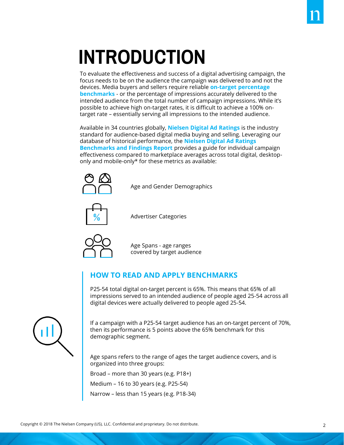# **INTRODUCTION**

To evaluate the effectiveness and success of a digital advertising campaign, the focus needs to be on the audience the campaign was delivered to and not the devices. Media buyers and sellers require reliable **on-target percentage benchmarks** - or the percentage of impressions accurately delivered to the intended audience from the total number of campaign impressions. While it's possible to achieve high on-target rates, it is difficult to achieve a 100% ontarget rate – essentially serving all impressions to the intended audience.

Available in 34 countries globally, **Nielsen Digital Ad Ratings** is the industry standard for audience-based digital media buying and selling. Leveraging our database of historical performance, the **Nielsen Digital Ad Ratings Benchmarks and Findings Report** provides a guide for individual campaign effectiveness compared to marketplace averages across total digital, desktoponly and mobile-only\* for these metrics as available:



Age and Gender Demographics



Advertiser Categories



Age Spans - age ranges covered by target audience

#### **HOW TO READ AND APPLY BENCHMARKS**

P25-54 total digital on-target percent is 65%. This means that 65% of all impressions served to an intended audience of people aged 25-54 across all digital devices were actually delivered to people aged 25-54.



If a campaign with a P25-54 target audience has an on-target percent of 70%, then its performance is 5 points above the 65% benchmark for this demographic segment.

Age spans refers to the range of ages the target audience covers, and is organized into three groups:

Broad – more than 30 years (e.g. P18+)

Medium – 16 to 30 years (e.g. P25-54)

Narrow – less than 15 years (e.g. P18-34)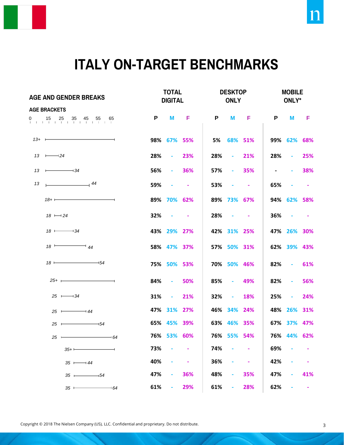

### **ITALY ON-TARGET BENCHMARKS**

| <b>AGE AND GENDER BREAKS</b>     |                             | <b>TOTAL</b><br><b>DIGITAL</b> |                          |                   |            | <b>DESKTOP</b><br><b>ONLY</b> |                   |            | <b>MOBILE</b><br>ONLY* |            |  |
|----------------------------------|-----------------------------|--------------------------------|--------------------------|-------------------|------------|-------------------------------|-------------------|------------|------------------------|------------|--|
| <b>AGE BRACKETS</b>              |                             |                                |                          |                   |            |                               |                   |            |                        |            |  |
| 0 15 25 35 45 55 65              |                             | P                              | M                        | $\blacksquare$    | P          | M                             | - F               | P          | M                      | - F        |  |
| $13+$ $\longrightarrow$          |                             |                                | 98% 67% 55%              |                   |            | 5% 68% 51%                    |                   |            | 99% 62% 68%            |            |  |
| $13 \rightarrow 24$              |                             | 28%                            | $-23%$                   |                   | 28%        |                               | $-21%$            | 28%        | $\sim 100$             | 25%        |  |
| $13 \rightarrow 34$              |                             | 56%                            |                          | $-36%$            | 57%        |                               | $-35%$            | $\sim 100$ | $\sim$ 100 $\pm$       | 38%        |  |
| $\frac{1}{2}$ 44<br>13           |                             | 59%                            | $\sim 100$               | <b>Contractor</b> | 53%        | $\sim 100$                    | <b>Contractor</b> | 65%        | $\sim$ $-$             | $\sim 100$ |  |
| $18 + \longrightarrow$           |                             |                                | 89% 70% 62%              |                   |            | 89% 73% 67%                   |                   |            | 94% 62% 58%            |            |  |
| $18 \longmapsto 24$              |                             | 32%                            | <b>Contract Contract</b> |                   | 28%        | <b>Contract Contract</b>      |                   |            | $36\%$ - -             |            |  |
| $18 \longmapsto 34$              |                             |                                | 43% 29% 27%              |                   |            | 42% 31% 25%                   |                   |            | 47% 26% 30%            |            |  |
| $18 \rightarrow 44$              |                             |                                | 58% 47% 37%              |                   |            | 57% 50% 31%                   |                   |            | 62% 39% 43%            |            |  |
| $18 \longmapsto 54$              |                             |                                | 75% 50% 53%              |                   |            | 70% 50% 46%                   |                   | 82%        | $\sim 100$             | 61%        |  |
| $25+$ $\frac{1}{25}$             |                             | 84%                            | $-50\%$                  |                   | 85%        | - 49%                         |                   | 82%        | <b>Contractor</b>      | 56%        |  |
| $25 \longmapsto 34$              |                             | 31%                            | $-21\%$                  |                   | 32%        | $-18%$                        |                   | 25%        | <b>Contractor</b>      | 24%        |  |
| $25 \longleftarrow 44$           |                             |                                | 47% 31% 27%              |                   |            | 46% 34% 24%                   |                   |            | 48% 26% 31%            |            |  |
| $25 -$<br>$-$ 54                 |                             |                                | 65% 45% 39%              |                   |            | 63% 46% 35%                   |                   |            | 67% 37% 47%            |            |  |
| $25 \leftarrow$                  | $\overline{\phantom{0}}$ 64 |                                | 76% 53% 60%              |                   |            | 76% 55% 54%                   |                   |            | 76% 44% 62%            |            |  |
| $35+$                            |                             | 73%                            |                          |                   | 74%        |                               |                   | 69%        |                        |            |  |
| $35 \longmapsto 44$              |                             | 40%<br>47%                     |                          | 36%               | 36%<br>48% |                               | 35%               | 42%<br>47% |                        | 41%        |  |
| $35 \longleftarrow 54$<br>$35 -$ | $-64$                       | 61%                            |                          | 29%               | 61%        |                               | 28%               | 62%        |                        | ۰          |  |

Copyright © 2018 The Nielsen Company (US), LLC. Confidential and proprietary. Do not distribute.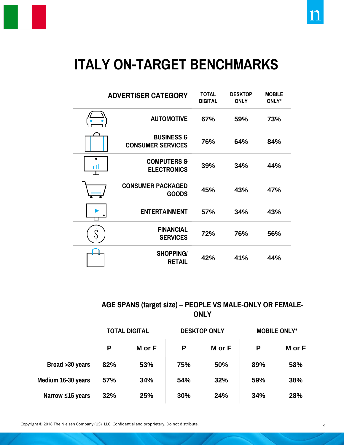

### **ITALY ON-TARGET BENCHMARKS**

|    | <b>ADVERTISER CATEGORY</b>                        | <b>TOTAL</b><br><b>DIGITAL</b> | <b>DESKTOP</b><br><b>ONLY</b> | <b>MOBILE</b><br>ONLY* |
|----|---------------------------------------------------|--------------------------------|-------------------------------|------------------------|
|    | <b>AUTOMOTIVE</b>                                 | 67%                            | 59%                           | 73%                    |
|    | <b>BUSINESS &amp;</b><br><b>CONSUMER SERVICES</b> | 76%                            | 64%                           | 84%                    |
| пI | <b>COMPUTERS &amp;</b><br><b>ELECTRONICS</b>      | 39%                            | 34%                           | 44%                    |
|    | <b>CONSUMER PACKAGED</b><br><b>GOODS</b>          | 45%                            | 43%                           | 47%                    |
|    | <b>ENTERTAINMENT</b>                              | 57%                            | 34%                           | 43%                    |
|    | <b>FINANCIAL</b><br><b>SERVICES</b>               | 72%                            | 76%                           | 56%                    |
|    | <b>SHOPPING/</b><br><b>RETAIL</b>                 | 42%                            | 41%                           | 44%                    |

#### **AGE SPANS (target size) – PEOPLE VS MALE-ONLY OR FEMALE-ONLY**

|                    | <b>TOTAL DIGITAL</b> |        |     | <b>DESKTOP ONLY</b> | <b>MOBILE ONLY*</b> |        |  |
|--------------------|----------------------|--------|-----|---------------------|---------------------|--------|--|
|                    | P                    | M or F | P   | M or F              | P                   | M or F |  |
| Broad > 30 years   | 82%                  | 53%    | 75% | 50%                 | 89%                 | 58%    |  |
| Medium 16-30 years | 57%                  | 34%    | 54% | 32%                 | 59%                 | 38%    |  |
| Narrow ≤15 years   | 32%                  | 25%    | 30% | 24%                 | 34%                 | 28%    |  |

Copyright © 2018 The Nielsen Company (US), LLC. Confidential and proprietary. Do not distribute.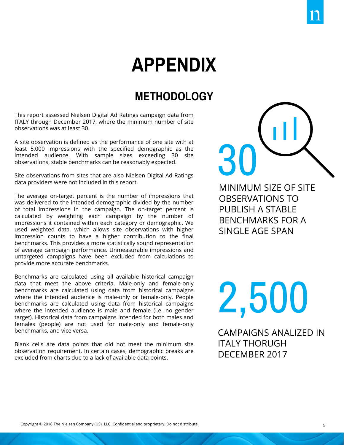## **APPENDIX**

### **METHODOLOGY**

This report assessed Nielsen Digital Ad Ratings campaign data from ITALY through December 2017, where the minimum number of site observations was at least 30.

A site observation is defined as the performance of one site with at least 5,000 impressions with the specified demographic as the intended audience. With sample sizes exceeding 30 site observations, stable benchmarks can be reasonably expected.

Site observations from sites that are also Nielsen Digital Ad Ratings data providers were not included in this report.

The average on-target percent is the number of impressions that was delivered to the intended demographic divided by the number of total impressions in the campaign. The on-target percent is calculated by weighting each campaign by the number of impressions it contained within each category or demographic. We used weighted data, which allows site observations with higher impression counts to have a higher contribution to the final benchmarks. This provides a more statistically sound representation of average campaign performance. Unmeasurable impressions and untargeted campaigns have been excluded from calculations to provide more accurate benchmarks.

Benchmarks are calculated using all available historical campaign data that meet the above criteria. Male-only and female-only benchmarks are calculated using data from historical campaigns where the intended audience is male-only or female-only. People benchmarks are calculated using data from historical campaigns where the intended audience is male and female (i.e. no gender target). Historical data from campaigns intended for both males and females (people) are not used for male-only and female-only benchmarks, and vice versa.

Blank cells are data points that did not meet the minimum site observation requirement. In certain cases, demographic breaks are excluded from charts due to a lack of available data points.

MINIMUM SIZE OF SITE OBSERVATIONS TO PUBLISH A STABLE BENCHMARKS FOR A SINGLE AGE SPAN

30

2,500

CAMPAIGNS ANALIZED IN ITALY THORUGH DECEMBER 2017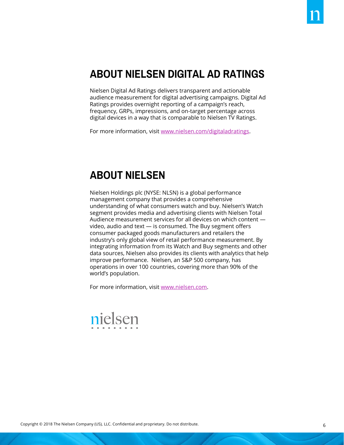### **ABOUT NIELSEN DIGITAL AD RATINGS**

Nielsen Digital Ad Ratings delivers transparent and actionable audience measurement for digital advertising campaigns. Digital Ad Ratings provides overnight reporting of a campaign's reach, frequency, GRPs, impressions, and on-target percentage across digital devices in a way that is comparable to Nielsen TV Ratings.

For more information, visit [www.nielsen.com/digitaladratings.](http://www.nielsen.com/digitaladratings)

#### **ABOUT NIELSEN**

Nielsen Holdings plc (NYSE: NLSN) is a global performance management company that provides a comprehensive understanding of what consumers watch and buy. Nielsen's Watch segment provides media and advertising clients with Nielsen Total Audience measurement services for all devices on which content video, audio and text — is consumed. The Buy segment offers consumer packaged goods manufacturers and retailers the industry's only global view of retail performance measurement. By integrating information from its Watch and Buy segments and other data sources, Nielsen also provides its clients with analytics that help improve performance. Nielsen, an S&P 500 company, has operations in over 100 countries, covering more than 90% of the world's population.

For more information, visit [www.nielsen.com](http://www.nielsen.com).